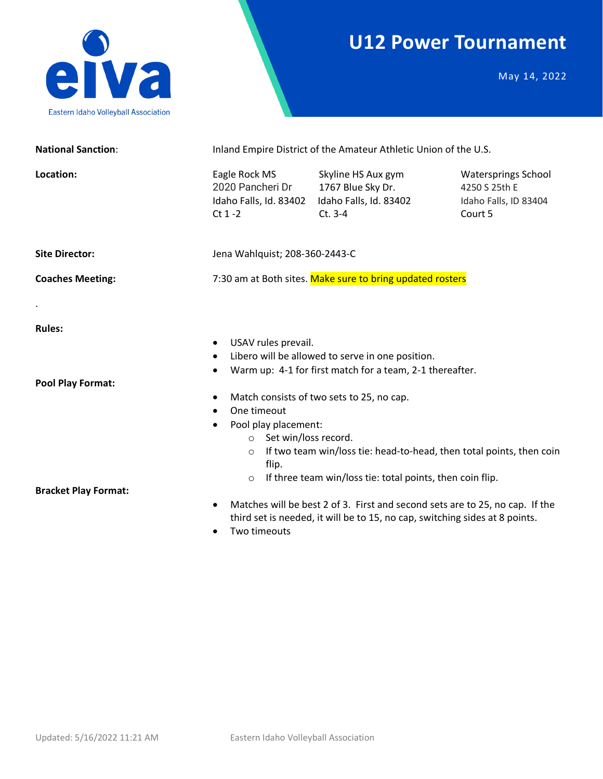## **U12 Power Tournament**



May 14, 2022

| <b>National Sanction:</b>                 | Inland Empire District of the Amateur Athletic Union of the U.S.                                  |                                                                                                                                                                                                                                                                                                  |                                                                                 |  |  |
|-------------------------------------------|---------------------------------------------------------------------------------------------------|--------------------------------------------------------------------------------------------------------------------------------------------------------------------------------------------------------------------------------------------------------------------------------------------------|---------------------------------------------------------------------------------|--|--|
| Location:                                 | Eagle Rock MS<br>2020 Pancheri Dr<br>Idaho Falls, Id. 83402<br>$Ct$ 1 -2                          | Skyline HS Aux gym<br>1767 Blue Sky Dr.<br>Idaho Falls, Id. 83402<br>$Ct. 3-4$                                                                                                                                                                                                                   | <b>Watersprings School</b><br>4250 S 25th E<br>Idaho Falls, ID 83404<br>Court 5 |  |  |
| <b>Site Director:</b>                     | Jena Wahlquist; 208-360-2443-C                                                                    |                                                                                                                                                                                                                                                                                                  |                                                                                 |  |  |
| <b>Coaches Meeting:</b>                   |                                                                                                   | 7:30 am at Both sites. Make sure to bring updated rosters                                                                                                                                                                                                                                        |                                                                                 |  |  |
|                                           |                                                                                                   |                                                                                                                                                                                                                                                                                                  |                                                                                 |  |  |
| <b>Rules:</b><br><b>Pool Play Format:</b> | USAV rules prevail.<br>$\bullet$<br>$\bullet$<br>One timeout<br>Pool play placement:<br>$\bullet$ | Libero will be allowed to serve in one position.<br>Warm up: 4-1 for first match for a team, 2-1 thereafter.<br>Match consists of two sets to 25, no cap.                                                                                                                                        |                                                                                 |  |  |
| <b>Bracket Play Format:</b>               | o Set win/loss record.<br>$\circ$<br>flip.<br>$\circ$<br>$\bullet$<br>Two timeouts                | If two team win/loss tie: head-to-head, then total points, then coin<br>If three team win/loss tie: total points, then coin flip.<br>Matches will be best 2 of 3. First and second sets are to 25, no cap. If the<br>third set is needed, it will be to 15, no cap, switching sides at 8 points. |                                                                                 |  |  |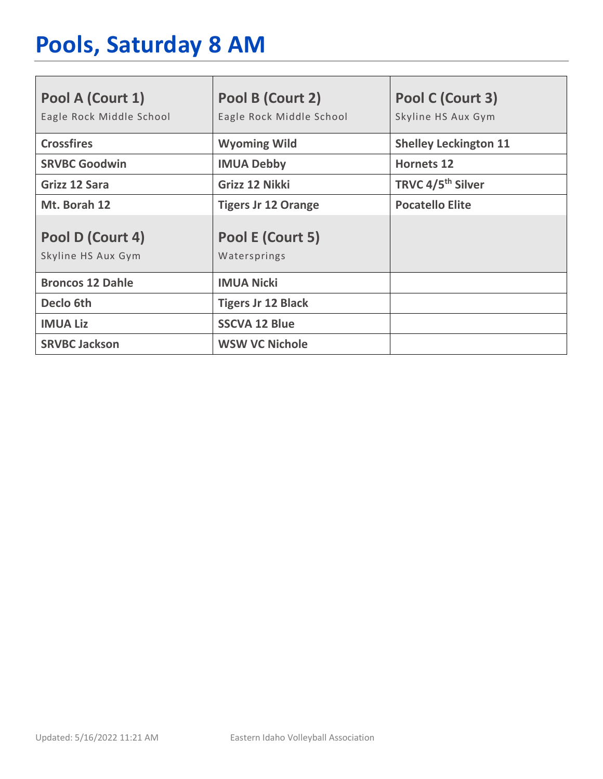# **Pools, Saturday 8 AM**

| Pool A (Court 1)<br>Eagle Rock Middle School | Pool B (Court 2)<br>Eagle Rock Middle School | Pool C (Court 3)<br>Skyline HS Aux Gym |
|----------------------------------------------|----------------------------------------------|----------------------------------------|
| <b>Crossfires</b>                            | <b>Wyoming Wild</b>                          | <b>Shelley Leckington 11</b>           |
| <b>SRVBC Goodwin</b>                         | <b>IMUA Debby</b>                            | <b>Hornets 12</b>                      |
| Grizz 12 Sara                                | Grizz 12 Nikki                               | TRVC 4/5 <sup>th</sup> Silver          |
| Mt. Borah 12                                 | <b>Tigers Jr 12 Orange</b>                   | <b>Pocatello Elite</b>                 |
| Pool D (Court 4)<br>Skyline HS Aux Gym       | Pool E (Court 5)<br>Watersprings             |                                        |
| <b>Broncos 12 Dahle</b>                      | <b>IMUA Nicki</b>                            |                                        |
| Declo 6th                                    | <b>Tigers Jr 12 Black</b>                    |                                        |
| <b>IMUA Liz</b>                              | <b>SSCVA 12 Blue</b>                         |                                        |
| <b>SRVBC Jackson</b>                         | <b>WSW VC Nichole</b>                        |                                        |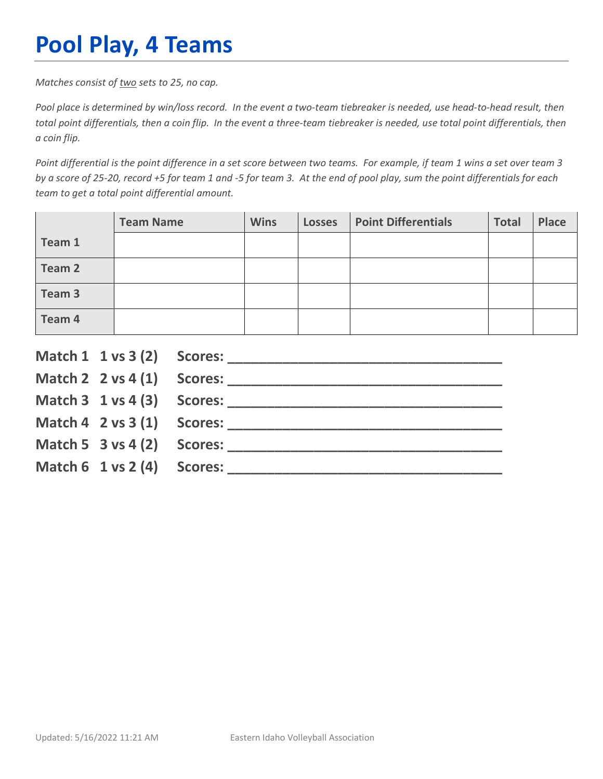## **Pool Play, 4 Teams**

*Matches consist of two sets to 25, no cap.*

*Pool place is determined by win/loss record. In the event a two-team tiebreaker is needed, use head-to-head result, then total point differentials, then a coin flip. In the event a three-team tiebreaker is needed, use total point differentials, then a coin flip.*

*Point differential is the point difference in a set score between two teams. For example, if team 1 wins a set over team 3 by a score of 25-20, record +5 for team 1 and -5 for team 3. At the end of pool play, sum the point differentials for each team to get a total point differential amount.* 

|        | <b>Team Name</b> | <b>Wins</b> | <b>Losses</b> | <b>Point Differentials</b> | <b>Total</b> | <b>Place</b> |
|--------|------------------|-------------|---------------|----------------------------|--------------|--------------|
| Team 1 |                  |             |               |                            |              |              |
| Team 2 |                  |             |               |                            |              |              |
| Team 3 |                  |             |               |                            |              |              |
| Team 4 |                  |             |               |                            |              |              |

|                                        | Match $2 \times 4(1)$ Scores:              |
|----------------------------------------|--------------------------------------------|
|                                        |                                            |
|                                        | Match $4 \quad 2 \text{ vs } 3(1)$ Scores: |
| Match 5 $3$ vs 4 (2) Scores:           |                                            |
| Match $6 \t1 \text{ vs } 2(4)$ Scores: |                                            |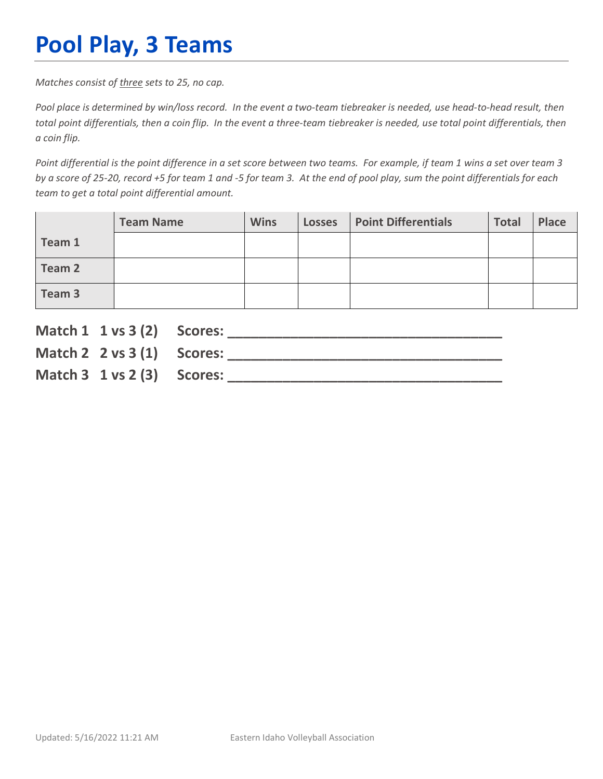## **Pool Play, 3 Teams**

*Matches consist of three sets to 25, no cap.*

*Pool place is determined by win/loss record. In the event a two-team tiebreaker is needed, use head-to-head result, then total point differentials, then a coin flip. In the event a three-team tiebreaker is needed, use total point differentials, then a coin flip.*

*Point differential is the point difference in a set score between two teams. For example, if team 1 wins a set over team 3 by a score of 25-20, record +5 for team 1 and -5 for team 3. At the end of pool play, sum the point differentials for each team to get a total point differential amount.* 

|        | <b>Team Name</b> | <b>Wins</b> | <b>Losses</b> | <b>Point Differentials</b> | <b>Total</b> | Place |
|--------|------------------|-------------|---------------|----------------------------|--------------|-------|
| Team 1 |                  |             |               |                            |              |       |
| Team 2 |                  |             |               |                            |              |       |
| Team 3 |                  |             |               |                            |              |       |

| Match 1 1 vs 3 (2) Scores:               |                               |
|------------------------------------------|-------------------------------|
|                                          | Match $2 \times 3(1)$ Scores: |
| Match $3 \t1 \text{ vs } 2 \t3)$ Scores: |                               |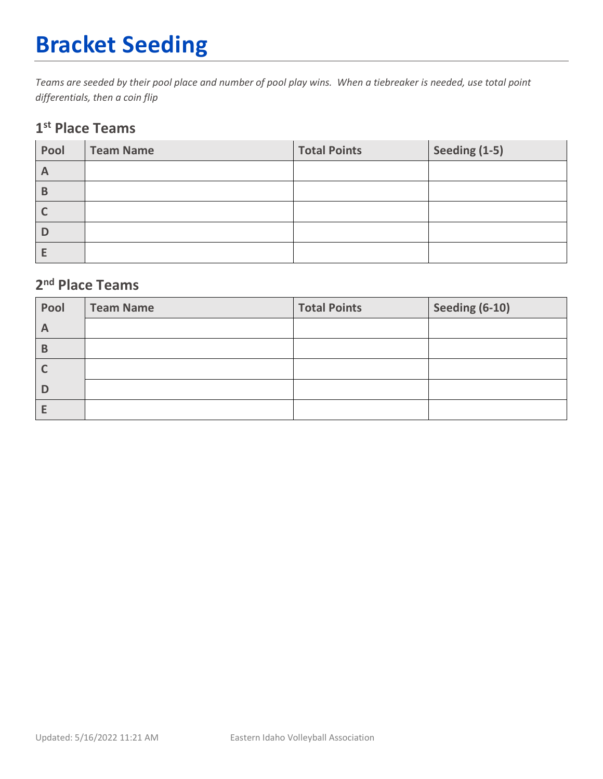# **Bracket Seeding**

*Teams are seeded by their pool place and number of pool play wins. When a tiebreaker is needed, use total point differentials, then a coin flip*

#### **1st Place Teams**

| Pool         | <b>Team Name</b> | <b>Total Points</b> | Seeding (1-5) |
|--------------|------------------|---------------------|---------------|
| $\mathsf{A}$ |                  |                     |               |
| B            |                  |                     |               |
|              |                  |                     |               |
| D            |                  |                     |               |
|              |                  |                     |               |

#### **2nd Place Teams**

| Pool         | <b>Team Name</b> | <b>Total Points</b> | Seeding (6-10) |
|--------------|------------------|---------------------|----------------|
| $\mathsf{A}$ |                  |                     |                |
| В            |                  |                     |                |
|              |                  |                     |                |
|              |                  |                     |                |
|              |                  |                     |                |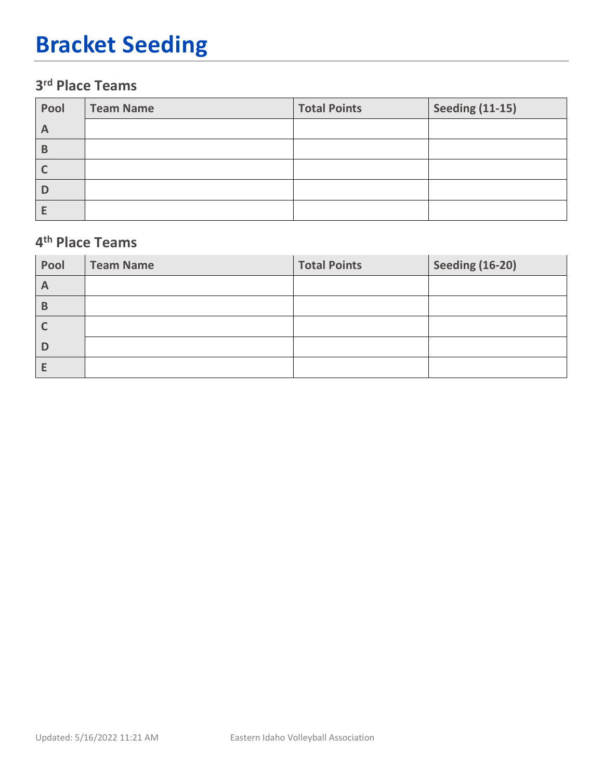## **Bracket Seeding**

### **3rd Place Teams**

| Pool | <b>Team Name</b> | <b>Total Points</b> | <b>Seeding (11-15)</b> |
|------|------------------|---------------------|------------------------|
| A    |                  |                     |                        |
| В    |                  |                     |                        |
|      |                  |                     |                        |
| D    |                  |                     |                        |
|      |                  |                     |                        |

#### **4th Place Teams**

| Pool         | <b>Team Name</b> | <b>Total Points</b> | <b>Seeding (16-20)</b> |
|--------------|------------------|---------------------|------------------------|
| $\mathsf{A}$ |                  |                     |                        |
| B            |                  |                     |                        |
|              |                  |                     |                        |
| D            |                  |                     |                        |
|              |                  |                     |                        |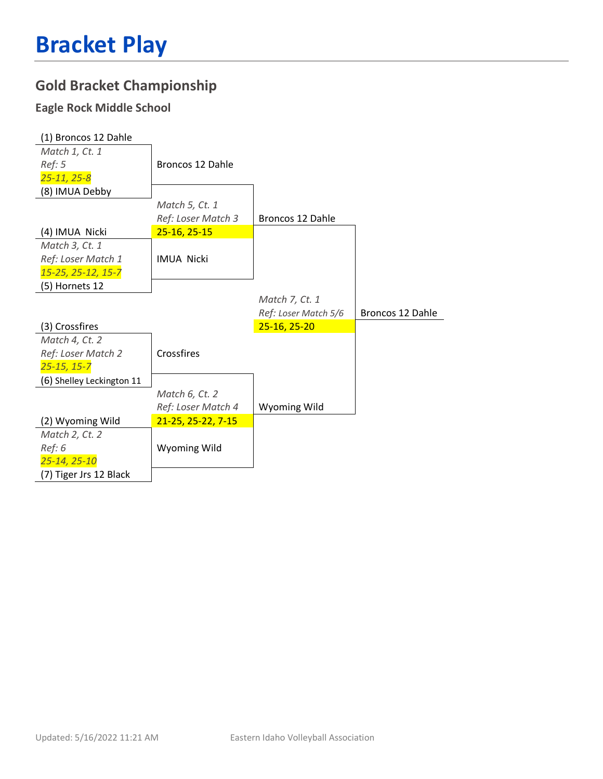### **Gold Bracket Championship**

### **Eagle Rock Middle School**

| (1) Broncos 12 Dahle      |                    |                      |                  |
|---------------------------|--------------------|----------------------|------------------|
| Match 1, Ct. 1            |                    |                      |                  |
| Ref: 5                    | Broncos 12 Dahle   |                      |                  |
| $25 - 11, 25 - 8$         |                    |                      |                  |
| (8) IMUA Debby            |                    |                      |                  |
|                           | Match 5, Ct. 1     |                      |                  |
|                           | Ref: Loser Match 3 | Broncos 12 Dahle     |                  |
| (4) IMUA Nicki            | 25-16, 25-15       |                      |                  |
| Match 3, Ct. 1            |                    |                      |                  |
| Ref: Loser Match 1        | <b>IMUA Nicki</b>  |                      |                  |
| 15-25, 25-12, 15-7        |                    |                      |                  |
| (5) Hornets 12            |                    |                      |                  |
|                           |                    | Match 7, Ct. 1       |                  |
|                           |                    |                      |                  |
|                           |                    | Ref: Loser Match 5/6 | Broncos 12 Dahle |
| (3) Crossfires            |                    | 25-16, 25-20         |                  |
| Match 4, Ct. 2            |                    |                      |                  |
| Ref: Loser Match 2        | Crossfires         |                      |                  |
| $25 - 15, 15 - 7$         |                    |                      |                  |
| (6) Shelley Leckington 11 |                    |                      |                  |
|                           | Match 6, Ct. 2     |                      |                  |
|                           | Ref: Loser Match 4 | Wyoming Wild         |                  |
| (2) Wyoming Wild          | 21-25, 25-22, 7-15 |                      |                  |
| Match 2, Ct. 2            |                    |                      |                  |
| Ref: 6                    | Wyoming Wild       |                      |                  |
| 25-14, 25-10              |                    |                      |                  |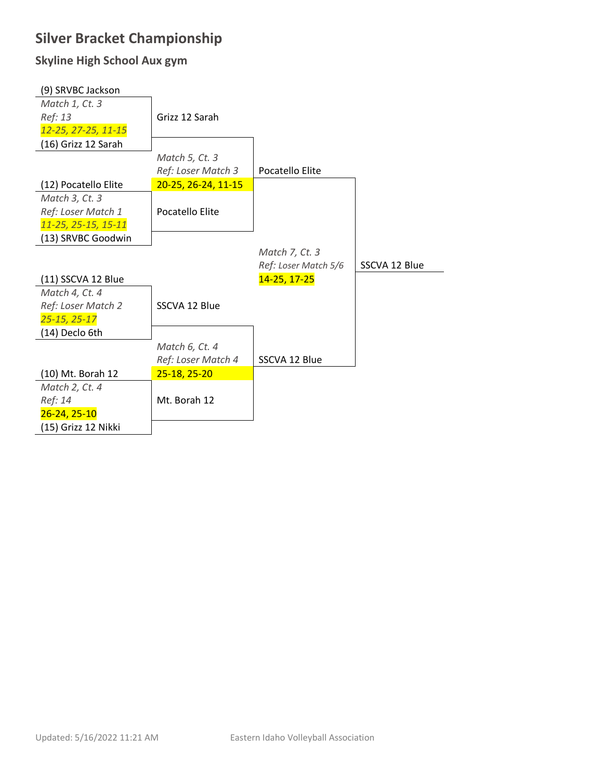### **Silver Bracket Championship**

#### **Skyline High School Aux gym**

| (9) SRVBC Jackson    |                     |                      |               |
|----------------------|---------------------|----------------------|---------------|
| Match 1, Ct. 3       |                     |                      |               |
| Ref: 13              | Grizz 12 Sarah      |                      |               |
| 12-25, 27-25, 11-15  |                     |                      |               |
| (16) Grizz 12 Sarah  |                     |                      |               |
|                      | Match 5, Ct. 3      |                      |               |
|                      | Ref: Loser Match 3  | Pocatello Elite      |               |
| (12) Pocatello Elite | 20-25, 26-24, 11-15 |                      |               |
| Match 3, Ct. 3       |                     |                      |               |
| Ref: Loser Match 1   | Pocatello Elite     |                      |               |
| 11-25, 25-15, 15-11  |                     |                      |               |
| (13) SRVBC Goodwin   |                     |                      |               |
|                      |                     | Match 7, Ct. 3       |               |
|                      |                     | Ref: Loser Match 5/6 | SSCVA 12 Blue |
| (11) SSCVA 12 Blue   |                     | 14-25, 17-25         |               |
| Match 4, Ct. 4       |                     |                      |               |
| Ref: Loser Match 2   | SSCVA 12 Blue       |                      |               |
| $25 - 15, 25 - 17$   |                     |                      |               |
| (14) Declo 6th       |                     |                      |               |
|                      | Match 6, Ct. 4      |                      |               |
|                      | Ref: Loser Match 4  | SSCVA 12 Blue        |               |
| (10) Mt. Borah 12    | 25-18, 25-20        |                      |               |
| Match 2, Ct. 4       |                     |                      |               |
| Ref: 14              | Mt. Borah 12        |                      |               |
| $26 - 24, 25 - 10$   |                     |                      |               |
| (15) Grizz 12 Nikki  |                     |                      |               |